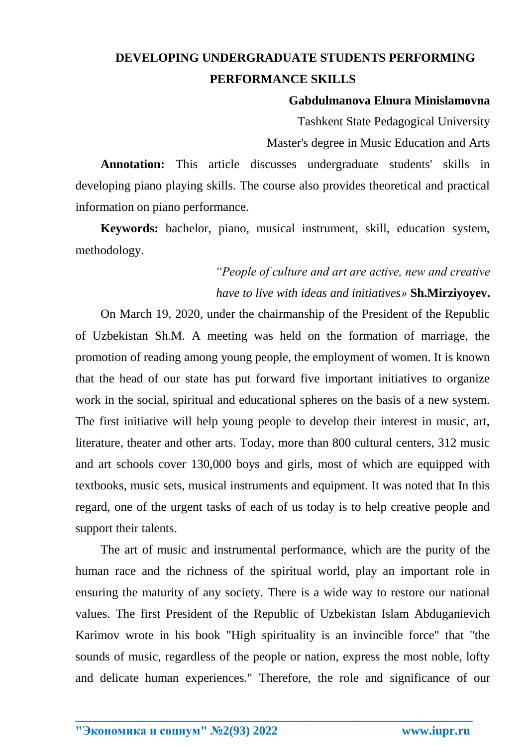## **DEVELOPING UNDERGRADUATE STUDENTS PERFORMING PERFORMANCE SKILLS**

## **Gabdulmanova Elnura Minislamovna**

Tashkent State Pedagogical University Master's degree in Music Education and Arts

**Annotation:** This article discusses undergraduate students' skills in developing piano playing skills. The course also provides theoretical and practical information on piano performance.

**Keywords:** bachelor, piano, musical instrument, skill, education system, methodology.

## *"People of culture and art are active, new and creative have to live with ideas and initiatives»* **Sh.Mirziyoyev.**

On March 19, 2020, under the chairmanship of the President of the Republic of Uzbekistan Sh.M. A meeting was held on the formation of marriage, the promotion of reading among young people, the employment of women. It is known that the head of our state has put forward five important initiatives to organize work in the social, spiritual and educational spheres on the basis of a new system. The first initiative will help young people to develop their interest in music, art, literature, theater and other arts. Today, more than 800 cultural centers, 312 music and art schools cover 130,000 boys and girls, most of which are equipped with textbooks, music sets, musical instruments and equipment. It was noted that In this regard, one of the urgent tasks of each of us today is to help creative people and support their talents.

The art of music and instrumental performance, which are the purity of the human race and the richness of the spiritual world, play an important role in ensuring the maturity of any society. There is a wide way to restore our national values. The first President of the Republic of Uzbekistan Islam Abduganievich Karimov wrote in his book "High spirituality is an invincible force" that "the sounds of music, regardless of the people or nation, express the most noble, lofty and delicate human experiences." Therefore, the role and significance of our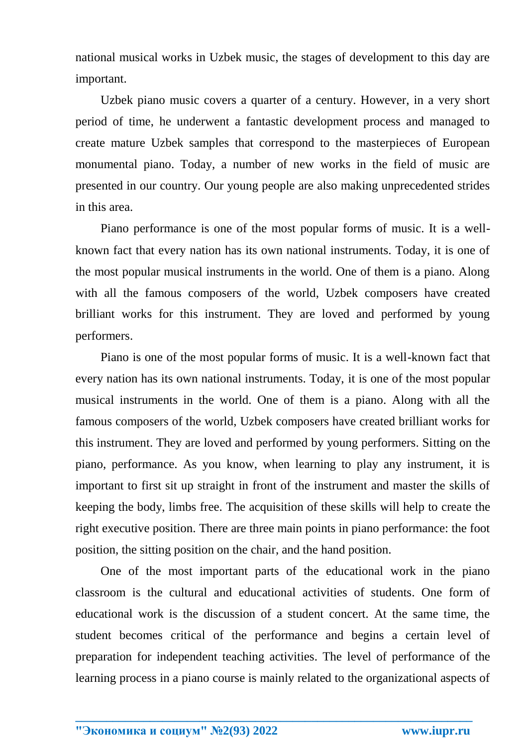national musical works in Uzbek music, the stages of development to this day are important.

Uzbek piano music covers a quarter of a century. However, in a very short period of time, he underwent a fantastic development process and managed to create mature Uzbek samples that correspond to the masterpieces of European monumental piano. Today, a number of new works in the field of music are presented in our country. Our young people are also making unprecedented strides in this area.

Piano performance is one of the most popular forms of music. It is a wellknown fact that every nation has its own national instruments. Today, it is one of the most popular musical instruments in the world. One of them is a piano. Along with all the famous composers of the world, Uzbek composers have created brilliant works for this instrument. They are loved and performed by young performers.

Piano is one of the most popular forms of music. It is a well-known fact that every nation has its own national instruments. Today, it is one of the most popular musical instruments in the world. One of them is a piano. Along with all the famous composers of the world, Uzbek composers have created brilliant works for this instrument. They are loved and performed by young performers. Sitting on the piano, performance. As you know, when learning to play any instrument, it is important to first sit up straight in front of the instrument and master the skills of keeping the body, limbs free. The acquisition of these skills will help to create the right executive position. There are three main points in piano performance: the foot position, the sitting position on the chair, and the hand position.

One of the most important parts of the educational work in the piano classroom is the cultural and educational activities of students. One form of educational work is the discussion of a student concert. At the same time, the student becomes critical of the performance and begins a certain level of preparation for independent teaching activities. The level of performance of the learning process in a piano course is mainly related to the organizational aspects of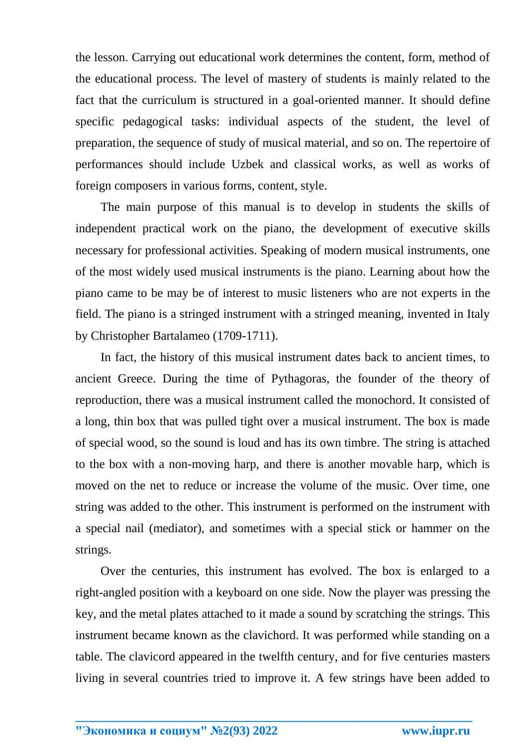the lesson. Carrying out educational work determines the content, form, method of the educational process. The level of mastery of students is mainly related to the fact that the curriculum is structured in a goal-oriented manner. It should define specific pedagogical tasks: individual aspects of the student, the level of preparation, the sequence of study of musical material, and so on. The repertoire of performances should include Uzbek and classical works, as well as works of foreign composers in various forms, content, style.

The main purpose of this manual is to develop in students the skills of independent practical work on the piano, the development of executive skills necessary for professional activities. Speaking of modern musical instruments, one of the most widely used musical instruments is the piano. Learning about how the piano came to be may be of interest to music listeners who are not experts in the field. The piano is a stringed instrument with a stringed meaning, invented in Italy by Christopher Bartalameo (1709-1711).

In fact, the history of this musical instrument dates back to ancient times, to ancient Greece. During the time of Pythagoras, the founder of the theory of reproduction, there was a musical instrument called the monochord. It consisted of a long, thin box that was pulled tight over a musical instrument. The box is made of special wood, so the sound is loud and has its own timbre. The string is attached to the box with a non-moving harp, and there is another movable harp, which is moved on the net to reduce or increase the volume of the music. Over time, one string was added to the other. This instrument is performed on the instrument with a special nail (mediator), and sometimes with a special stick or hammer on the strings.

Over the centuries, this instrument has evolved. The box is enlarged to a right-angled position with a keyboard on one side. Now the player was pressing the key, and the metal plates attached to it made a sound by scratching the strings. This instrument became known as the clavichord. It was performed while standing on a table. The clavicord appeared in the twelfth century, and for five centuries masters living in several countries tried to improve it. A few strings have been added to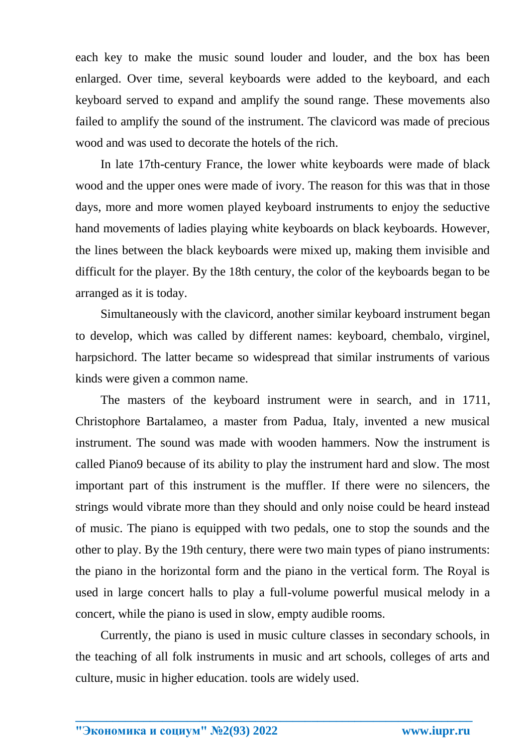each key to make the music sound louder and louder, and the box has been enlarged. Over time, several keyboards were added to the keyboard, and each keyboard served to expand and amplify the sound range. These movements also failed to amplify the sound of the instrument. The clavicord was made of precious wood and was used to decorate the hotels of the rich.

In late 17th-century France, the lower white keyboards were made of black wood and the upper ones were made of ivory. The reason for this was that in those days, more and more women played keyboard instruments to enjoy the seductive hand movements of ladies playing white keyboards on black keyboards. However, the lines between the black keyboards were mixed up, making them invisible and difficult for the player. By the 18th century, the color of the keyboards began to be arranged as it is today.

Simultaneously with the clavicord, another similar keyboard instrument began to develop, which was called by different names: keyboard, chembalo, virginel, harpsichord. The latter became so widespread that similar instruments of various kinds were given a common name.

The masters of the keyboard instrument were in search, and in 1711, Christophore Bartalameo, a master from Padua, Italy, invented a new musical instrument. The sound was made with wooden hammers. Now the instrument is called Piano9 because of its ability to play the instrument hard and slow. The most important part of this instrument is the muffler. If there were no silencers, the strings would vibrate more than they should and only noise could be heard instead of music. The piano is equipped with two pedals, one to stop the sounds and the other to play. By the 19th century, there were two main types of piano instruments: the piano in the horizontal form and the piano in the vertical form. The Royal is used in large concert halls to play a full-volume powerful musical melody in a concert, while the piano is used in slow, empty audible rooms.

Currently, the piano is used in music culture classes in secondary schools, in the teaching of all folk instruments in music and art schools, colleges of arts and culture, music in higher education. tools are widely used.